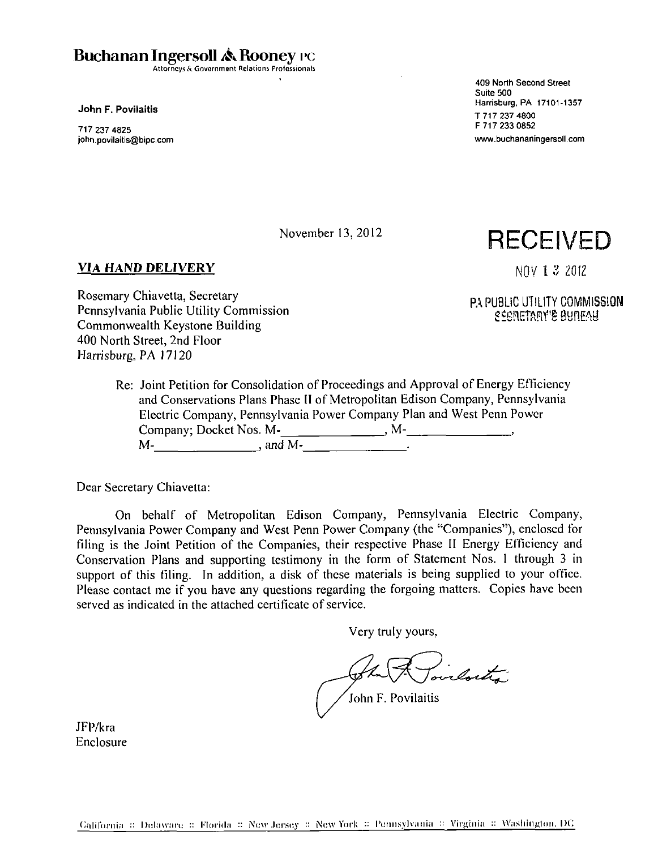**Buchanan Ingersoll A Rooney rc** 

Attorneys & Government Relations Professionals

**John F. Povilaitis** 

717 237 4825 john.povilaitis@bipc.com 409 North Second Street Suite 500 Harrisburg, PA 17101-1357 T 717 237 4800 F 717 233 0852 www.buchananingersoll.com

November 13, 2012

## **VIA HAND DELIVERY**

**RECEIVED** 

NOV I 3 ZOIZ

**PA PUBLIC UTILITY COMMISSION SlrGflETARf S BBflE&l** 

Rosemary Chiavetta, Secretary Pennsylvania Public Utility Commission Commonwealth Keystone Building 400 North Street, 2nd Floor Harrisburg, PA 17120

> Re: Joint Petition for Consolidation of Proceedings and Approval of Energy Efficiency and Conservations Plans Phase II of Metropolitan Edison Company, Pennsylvania Electric Company, Pennsylvania Power Company Plan and West Penn Power Company; Docket Nos. M-1. 1998. M-2. 1998. M-2. 1999. M- , and M-

Dear Secretary Chiavetta:

On behalf of Metropolitan Edison Company, Pennsylvania Electric Company, Pennsylvania Power Company and West Penn Power Company (the "Companies"), enclosed for filing is the Joint Petition of the Companies, their respective Phase II Energy Efficiency and Conservation Plans and supporting testimony in the form of Statement Nos. 1 through 3 in support of this filing. In addition, a disk of these materials is being supplied to your office. Please contact me if you have any questions regarding the forgoing matters. Copies have been served as indicated in the attached certificate of service.

Very truly yours,

The Roulouts  $J_{\text{ohn}}$  F. Povilaitis

JFP/kra Enclosure